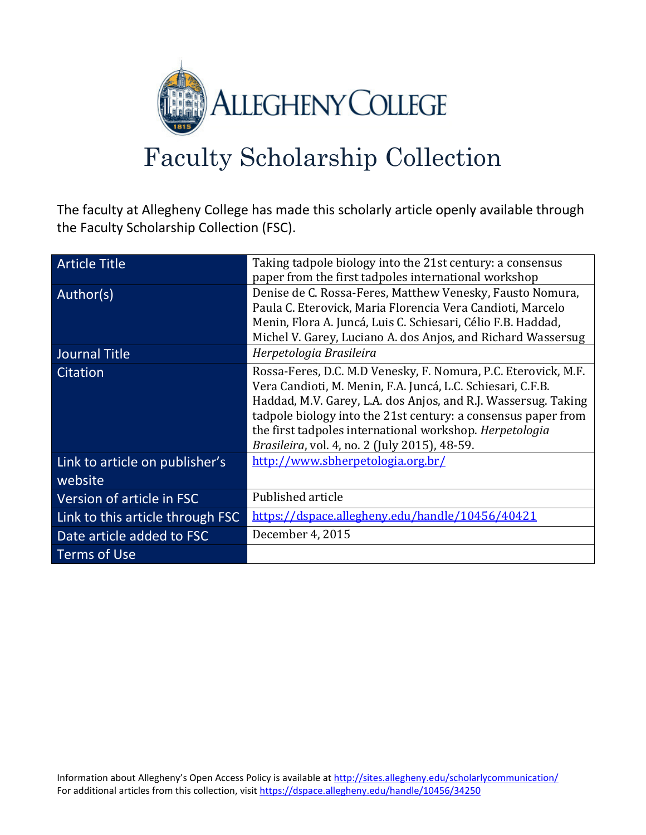

# Faculty Scholarship Collection

The faculty at Allegheny College has made this scholarly article openly available through the Faculty Scholarship Collection (FSC).

| <b>Article Title</b>                      | Taking tadpole biology into the 21st century: a consensus<br>paper from the first tadpoles international workshop                                                                                                                                                                                                                                                            |
|-------------------------------------------|------------------------------------------------------------------------------------------------------------------------------------------------------------------------------------------------------------------------------------------------------------------------------------------------------------------------------------------------------------------------------|
| Author(s)                                 | Denise de C. Rossa-Feres, Matthew Venesky, Fausto Nomura,<br>Paula C. Eterovick, Maria Florencia Vera Candioti, Marcelo<br>Menin, Flora A. Juncá, Luis C. Schiesari, Célio F.B. Haddad,<br>Michel V. Garey, Luciano A. dos Anjos, and Richard Wassersug                                                                                                                      |
| Journal Title                             | Herpetologia Brasileira                                                                                                                                                                                                                                                                                                                                                      |
| Citation                                  | Rossa-Feres, D.C. M.D Venesky, F. Nomura, P.C. Eterovick, M.F.<br>Vera Candioti, M. Menin, F.A. Juncá, L.C. Schiesari, C.F.B.<br>Haddad, M.V. Garey, L.A. dos Anjos, and R.J. Wassersug. Taking<br>tadpole biology into the 21st century: a consensus paper from<br>the first tadpoles international workshop. Herpetologia<br>Brasileira, vol. 4, no. 2 (July 2015), 48-59. |
| Link to article on publisher's<br>website | http://www.sbherpetologia.org.br/                                                                                                                                                                                                                                                                                                                                            |
| Version of article in FSC                 | Published article                                                                                                                                                                                                                                                                                                                                                            |
| Link to this article through FSC          | https://dspace.allegheny.edu/handle/10456/40421                                                                                                                                                                                                                                                                                                                              |
| Date article added to FSC                 | December 4, 2015                                                                                                                                                                                                                                                                                                                                                             |
| Terms of Use                              |                                                                                                                                                                                                                                                                                                                                                                              |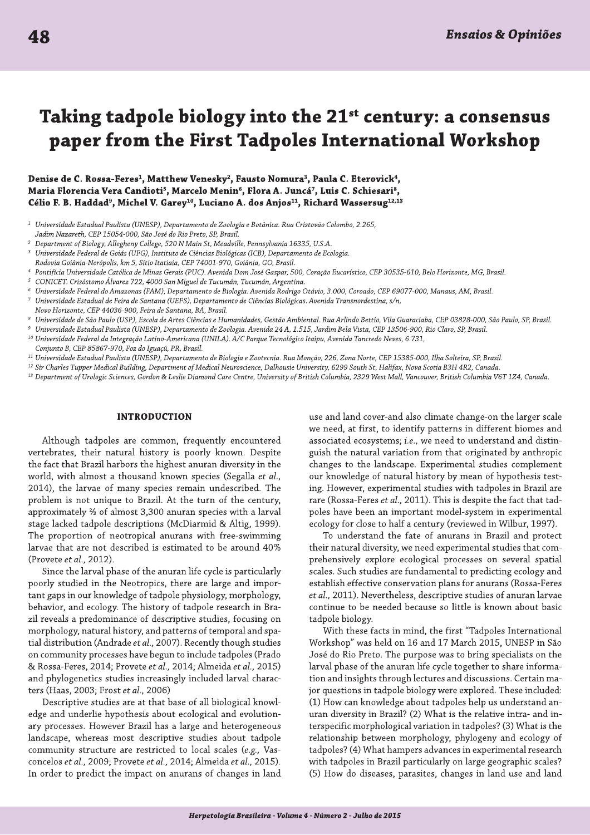# Taking tadpole biology into the 21<sup>st</sup> century: a consensus paper from the First Tadpoles International Workshop

Denise de C. Rossa-Feres<sup>1</sup>, Matthew Venesky<sup>2</sup>, Fausto Nomura<sup>3</sup>, Paula C. Eterovick<sup>4</sup>, Maria Florencia Vera Candioti<sup>5</sup>, Marcelo Menin<sup>6</sup>, Flora A. Juncá<sup>7</sup>, Luis C. Schiesari<sup>8</sup>, Célio F. B. Haddad<sup>9</sup>, Michel V. Garey<sup>10</sup>, Luciano A. dos Anjos<sup>11</sup>, Richard Wassersug<sup>12,13</sup>

- Universidade Estadual Paulista (UNESP), Departamento de Zoologia e Botânica. Rua Cristovão Colombo, 2.265, Jadim Nazareth, CEP 15054-000, São José do Rio Preto, SP, Brasil.
- Department of Biology, Allegheny College, 520 N Main St, Meadville, Pennsylvania 16335, U.S.A.
- Universidade Federal de Goiás (UFG), Instituto de Ciências Biológicas (ICB), Departamento de Ecologia.
- Rodovia Goiânia-Nerópolis, km 5, Sítio Itatiaia, CEP 74001-970, Goiânia, GO, Brasil,
- Pontifícia Universidade Católica de Minas Gerais (PUC). Avenida Dom José Gaspar, 500, Coração Eucarístico, CEP 30535-610, Belo Horizonte, MG, Brasil.
- CONICET. Crisóstomo Álvarez 722, 4000 San Miguel de Tucumán, Tucumán, Argentina.
- Universidade Federal do Amazonas (FAM), Departamento de Biologia. Avenida Rodrigo Otávio, 3.000, Coroado, CEP 69077-000, Manaus, AM, Brasil.
- Universidade Estadual de Feira de Santana (UEFS), Departamento de Ciências Biológicas. Avenida Transnordestina, s/n,
- Novo Horizonte, CEP 44036-900, Feira de Santana, BA, Brasil.
- Universidade de São Paulo (USP), Escola de Artes Ciências e Humanidades, Gestão Ambiental. Rua Arlindo Bettio, Vila Guaraciaba, CEP 03828-000, São Paulo, SP, Brasil.
- Universidade Estadual Paulista (UNESP), Departamento de Zoologia. Avenida 24 A, 1.515, Jardim Bela Vista, CEP 13506-900, Rio Claro, SP, Brasil.
- <sup>10</sup> Universidade Federal da Integração Latino-Americana (UNILA). A/C Parque Tecnológico Itaipu, Avenida Tancredo Neves, 6.731,
- Conjunto B, CEP 85867-970, Foz do Iguaçú, PR, Brasil.
- <sup>11</sup> Universidade Estadual Paulista (UNESP), Departamento de Biologia e Zootecnia. Rua Monção, 226, Zona Norte, CEP 15385-000, Ilha Solteira, SP, Brasil.
- <sup>12</sup> Sir Charles Tupper Medical Building, Department of Medical Neuroscience, Dalhousie University, 6299 South St, Halifax, Nova Scotia B3H 4R2, Canada.
- <sup>13</sup> Department of Urologic Sciences, Gordon & Leslie Diamond Care Centre, University of British Columbia, 2329 West Mall, Vancouver, British Columbia V6T 1Z4, Canada.

# **INTRODUCTION**

Although tadpoles are common, frequently encountered vertebrates, their natural history is poorly known. Despite the fact that Brazil harbors the highest anuran diversity in the world, with almost a thousand known species (Segalla et al., 2014), the larvae of many species remain undescribed. The problem is not unique to Brazil. At the turn of the century, approximately % of almost 3,300 anuran species with a larval stage lacked tadpole descriptions (McDiarmid & Altig, 1999). The proportion of neotropical anurans with free-swimming larvae that are not described is estimated to be around 40% (Provete et al., 2012).

Since the larval phase of the anuran life cycle is particularly poorly studied in the Neotropics, there are large and important gaps in our knowledge of tadpole physiology, morphology, behavior, and ecology. The history of tadpole research in Brazil reveals a predominance of descriptive studies, focusing on morphology, natural history, and patterns of temporal and spatial distribution (Andrade et al., 2007). Recently though studies on community processes have begun to include tadpoles (Prado & Rossa-Feres, 2014; Provete et al., 2014; Almeida et al., 2015) and phylogenetics studies increasingly included larval characters (Haas, 2003; Frost et al., 2006)

Descriptive studies are at that base of all biological knowledge and underlie hypothesis about ecological and evolutionary processes. However Brazil has a large and heterogeneous landscape, whereas most descriptive studies about tadpole community structure are restricted to local scales (e.g., Vasconcelos et al., 2009; Provete et al., 2014; Almeida et al., 2015). In order to predict the impact on anurans of changes in land use and land cover-and also climate change-on the larger scale we need, at first, to identify patterns in different biomes and associated ecosystems; i.e., we need to understand and distinguish the natural variation from that originated by anthropic changes to the landscape. Experimental studies complement our knowledge of natural history by mean of hypothesis testing. However, experimental studies with tadpoles in Brazil are rare (Rossa-Feres et al., 2011). This is despite the fact that tadpoles have been an important model-system in experimental ecology for close to half a century (reviewed in Wilbur, 1997).

To understand the fate of anurans in Brazil and protect their natural diversity, we need experimental studies that comprehensively explore ecological processes on several spatial scales. Such studies are fundamental to predicting ecology and establish effective conservation plans for anurans (Rossa-Feres et al., 2011). Nevertheless, descriptive studies of anuran larvae continue to be needed because so little is known about basic tadpole biology.

With these facts in mind, the first "Tadpoles International Workshop" was held on 16 and 17 March 2015, UNESP in São José do Rio Preto. The purpose was to bring specialists on the larval phase of the anuran life cycle together to share information and insights through lectures and discussions. Certain major questions in tadpole biology were explored. These included: (1) How can knowledge about tadpoles help us understand anuran diversity in Brazil? (2) What is the relative intra- and interspecific morphological variation in tadpoles? (3) What is the relationship between morphology, phylogeny and ecology of tadpoles? (4) What hampers advances in experimental research with tadpoles in Brazil particularly on large geographic scales? (5) How do diseases, parasites, changes in land use and land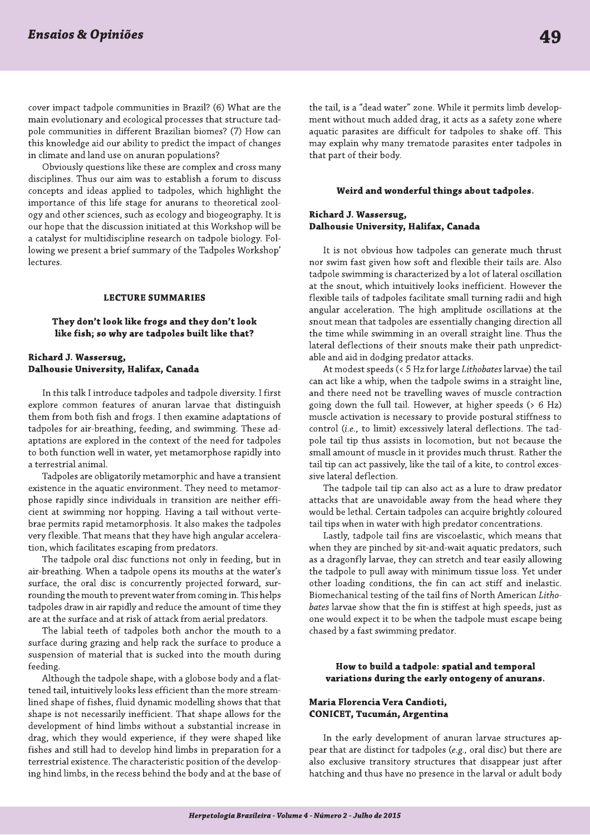cover impact tadpole communities in Brazil? (6) What are the main evolutionary and ecological processes that structure tadpole communities in different Brazilian biomes? (7) How can this knowledge aid our ability to predict the impact of changes in climate and land use on anuran populations?

Obviously questions like these are complex and cross many disciplines. Thus our aim was to establish a forum to discuss concepts and ideas applied to tadpoles, which highlight the importance of this life stage for anurans to theoretical zoology and other sciences, such as ecology and biogeography. It is our hope that the discussion initiated at this Workshop will be a catalyst for multidiscipline research on tadpole biology. Following we present a brief summary of the Tadpoles Workshop' lectures.

#### **LECTURE SUMMARIES**

# They don't look like frogs and they don't look like fish; so why are tadpoles built like that?

# Richard J. Wassersug, Dalhousie University, Halifax, Canada

In this talk I introduce tadpoles and tadpole diversity. I first explore common features of anuran larvae that distinguish them from both fish and frogs. I then examine adaptations of tadpoles for air-breathing, feeding, and swimming. These adaptations are explored in the context of the need for tadpoles to both function well in water, yet metamorphose rapidly into a terrestrial animal.

Tadpoles are obligatorily metamorphic and have a transient existence in the aquatic environment. They need to metamorphose rapidly since individuals in transition are neither efficient at swimming nor hopping. Having a tail without vertebrae permits rapid metamorphosis. It also makes the tadpoles very flexible. That means that they have high angular acceleration, which facilitates escaping from predators.

The tadpole oral disc functions not only in feeding, but in air-breathing. When a tadpole opens its mouths at the water's surface, the oral disc is concurrently projected forward, surrounding the mouth to prevent water from coming in. This helps tadpoles draw in air rapidly and reduce the amount of time they are at the surface and at risk of attack from aerial predators.

The labial teeth of tadpoles both anchor the mouth to a surface during grazing and help rack the surface to produce a suspension of material that is sucked into the mouth during feeding.

Although the tadpole shape, with a globose body and a flattened tail, intuitively looks less efficient than the more streamlined shape of fishes, fluid dynamic modelling shows that that shape is not necessarily inefficient. That shape allows for the development of hind limbs without a substantial increase in drag, which they would experience, if they were shaped like fishes and still had to develop hind limbs in preparation for a terrestrial existence. The characteristic position of the developing hind limbs, in the recess behind the body and at the base of the tail, is a "dead water" zone. While it permits limb development without much added drag, it acts as a safety zone where aquatic parasites are difficult for tadpoles to shake off. This may explain why many trematode parasites enter tadpoles in that part of their body.

#### Weird and wonderful things about tadpoles.

# Richard J. Wassersug, Dalhousie University, Halifax, Canada

It is not obvious how tadpoles can generate much thrust nor swim fast given how soft and flexible their tails are. Also tadpole swimming is characterized by a lot of lateral oscillation at the snout, which intuitively looks inefficient. However the flexible tails of tadpoles facilitate small turning radii and high angular acceleration. The high amplitude oscillations at the snout mean that tadpoles are essentially changing direction all the time while swimming in an overall straight line. Thus the lateral deflections of their snouts make their path unpredictable and aid in dodging predator attacks.

At modest speeds (< 5 Hz for large Lithobates larvae) the tail can act like a whip, when the tadpole swims in a straight line, and there need not be travelling waves of muscle contraction going down the full tail. However, at higher speeds (> 6 Hz) muscle activation is necessary to provide postural stiffness to control (i.e., to limit) excessively lateral deflections. The tadpole tail tip thus assists in locomotion, but not because the small amount of muscle in it provides much thrust. Rather the tail tip can act passively, like the tail of a kite, to control excessive lateral deflection.

The tadpole tail tip can also act as a lure to draw predator attacks that are unavoidable away from the head where they would be lethal. Certain tadpoles can acquire brightly coloured tail tips when in water with high predator concentrations.

Lastly, tadpole tail fins are viscoelastic, which means that when they are pinched by sit-and-wait aquatic predators, such as a dragonfly larvae, they can stretch and tear easily allowing the tadpole to pull away with minimum tissue loss. Yet under other loading conditions, the fin can act stiff and inelastic. Biomechanical testing of the tail fins of North American Lithobates larvae show that the fin is stiffest at high speeds, just as one would expect it to be when the tadpole must escape being chased by a fast swimming predator.

# How to build a tadpole: spatial and temporal variations during the early ontogeny of anurans.

# Maria Florencia Vera Candioti, **CONICET, Tucumán, Argentina**

In the early development of anuran larvae structures appear that are distinct for tadpoles (e.g., oral disc) but there are also exclusive transitory structures that disappear just after hatching and thus have no presence in the larval or adult body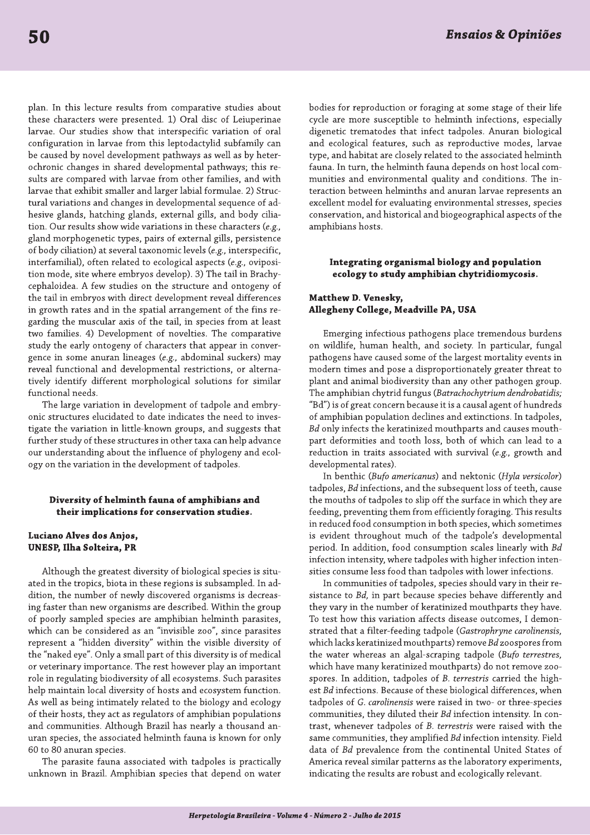plan. In this lecture results from comparative studies about these characters were presented. 1) Oral disc of Leiuperinae larvae. Our studies show that interspecific variation of oral configuration in larvae from this leptodactylid subfamily can be caused by novel development pathways as well as by heterochronic changes in shared developmental pathways; this results are compared with larvae from other families, and with larvae that exhibit smaller and larger labial formulae. 2) Structural variations and changes in developmental sequence of adhesive glands, hatching glands, external gills, and body ciliation. Our results show wide variations in these characters (e.g., gland morphogenetic types, pairs of external gills, persistence of body ciliation) at several taxonomic levels (e.g., interspecific, interfamilial), often related to ecological aspects (e.g., oviposition mode, site where embryos develop). 3) The tail in Brachycephaloidea. A few studies on the structure and ontogeny of the tail in embryos with direct development reveal differences in growth rates and in the spatial arrangement of the fins regarding the muscular axis of the tail, in species from at least two families. 4) Development of novelties. The comparative study the early ontogeny of characters that appear in convergence in some anuran lineages (e.g., abdominal suckers) may reveal functional and developmental restrictions, or alternatively identify different morphological solutions for similar functional needs.

The large variation in development of tadpole and embryonic structures elucidated to date indicates the need to investigate the variation in little-known groups, and suggests that further study of these structures in other taxa can help advance our understanding about the influence of phylogeny and ecology on the variation in the development of tadpoles.

### Diversity of helminth fauna of amphibians and their implications for conservation studies.

# Luciano Alves dos Anjos, UNESP, Ilha Solteira, PR

Although the greatest diversity of biological species is situated in the tropics, biota in these regions is subsampled. In addition, the number of newly discovered organisms is decreasing faster than new organisms are described. Within the group of poorly sampled species are amphibian helminth parasites, which can be considered as an "invisible zoo", since parasites represent a "hidden diversity" within the visible diversity of the "naked eye". Only a small part of this diversity is of medical or veterinary importance. The rest however play an important role in regulating biodiversity of all ecosystems. Such parasites help maintain local diversity of hosts and ecosystem function. As well as being intimately related to the biology and ecology of their hosts, they act as regulators of amphibian populations and communities. Although Brazil has nearly a thousand anuran species, the associated helminth fauna is known for only 60 to 80 anuran species.

The parasite fauna associated with tadpoles is practically unknown in Brazil. Amphibian species that depend on water bodies for reproduction or foraging at some stage of their life cycle are more susceptible to helminth infections, especially digenetic trematodes that infect tadpoles. Anuran biological and ecological features, such as reproductive modes, larvae type, and habitat are closely related to the associated helminth fauna. In turn, the helminth fauna depends on host local communities and environmental quality and conditions. The interaction between helminths and anuran larvae represents an excellent model for evaluating environmental stresses, species conservation, and historical and biogeographical aspects of the amphibians hosts.

# Integrating organismal biology and population ecology to study amphibian chytridiomycosis.

# Matthew D. Venesky, Allegheny College, Meadville PA, USA

Emerging infectious pathogens place tremendous burdens on wildlife, human health, and society. In particular, fungal pathogens have caused some of the largest mortality events in modern times and pose a disproportionately greater threat to plant and animal biodiversity than any other pathogen group. The amphibian chytrid fungus (Batrachochytrium dendrobatidis; "Bd") is of great concern because it is a causal agent of hundreds of amphibian population declines and extinctions. In tadpoles, Bd only infects the keratinized mouthparts and causes mouthpart deformities and tooth loss, both of which can lead to a reduction in traits associated with survival (e.g., growth and developmental rates).

In benthic (Bufo americanus) and nektonic (Hyla versicolor) tadpoles, Bd infections, and the subsequent loss of teeth, cause the mouths of tadpoles to slip off the surface in which they are feeding, preventing them from efficiently foraging. This results in reduced food consumption in both species, which sometimes is evident throughout much of the tadpole's developmental period. In addition, food consumption scales linearly with Bd infection intensity, where tadpoles with higher infection intensities consume less food than tadpoles with lower infections.

In communities of tadpoles, species should vary in their resistance to Bd, in part because species behave differently and they vary in the number of keratinized mouthparts they have. To test how this variation affects disease outcomes, I demonstrated that a filter-feeding tadpole (Gastrophryne carolinensis, which lacks keratinized mouthparts) remove Bd zoospores from the water whereas an algal-scraping tadpole (Bufo terrestres, which have many keratinized mouthparts) do not remove zoospores. In addition, tadpoles of B. terrestris carried the highest Bd infections. Because of these biological differences, when tadpoles of G. carolinensis were raised in two- or three-species communities, they diluted their Bd infection intensity. In contrast, whenever tadpoles of B. terrestris were raised with the same communities, they amplified Bd infection intensity. Field data of Bd prevalence from the continental United States of America reveal similar patterns as the laboratory experiments, indicating the results are robust and ecologically relevant.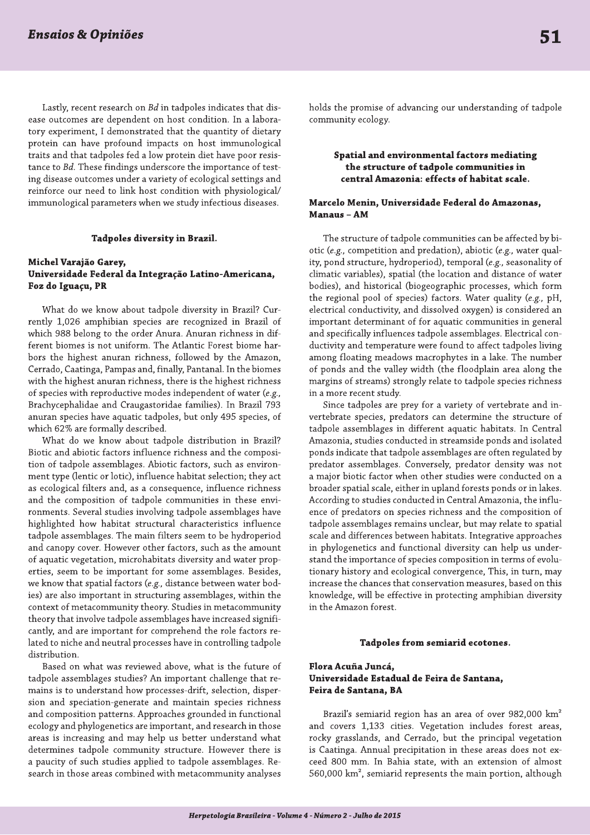Lastly, recent research on Bd in tadpoles indicates that disease outcomes are dependent on host condition. In a laboratory experiment, I demonstrated that the quantity of dietary protein can have profound impacts on host immunological traits and that tadpoles fed a low protein diet have poor resistance to Bd. These findings underscore the importance of testing disease outcomes under a variety of ecological settings and reinforce our need to link host condition with physiological/ immunological parameters when we study infectious diseases.

#### Tadpoles diversity in Brazil.

# Michel Varajão Garey, Universidade Federal da Integração Latino-Americana, Foz do Iguaçu, PR

What do we know about tadpole diversity in Brazil? Currently 1,026 amphibian species are recognized in Brazil of which 988 belong to the order Anura. Anuran richness in different biomes is not uniform. The Atlantic Forest biome harbors the highest anuran richness, followed by the Amazon, Cerrado, Caatinga, Pampas and, finally, Pantanal. In the biomes with the highest anuran richness, there is the highest richness of species with reproductive modes independent of water (e.g., Brachycephalidae and Craugastoridae families). In Brazil 793 anuran species have aquatic tadpoles, but only 495 species, of which 62% are formally described.

What do we know about tadpole distribution in Brazil? Biotic and abiotic factors influence richness and the composition of tadpole assemblages. Abiotic factors, such as environment type (lentic or lotic), influence habitat selection; they act as ecological filters and, as a consequence, influence richness and the composition of tadpole communities in these environments. Several studies involving tadpole assemblages have highlighted how habitat structural characteristics influence tadpole assemblages. The main filters seem to be hydroperiod and canopy cover. However other factors, such as the amount of aquatic vegetation, microhabitats diversity and water properties, seem to be important for some assemblages. Besides, we know that spatial factors (e.g., distance between water bodies) are also important in structuring assemblages, within the context of metacommunity theory. Studies in metacommunity theory that involve tadpole assemblages have increased significantly, and are important for comprehend the role factors related to niche and neutral processes have in controlling tadpole distribution.

Based on what was reviewed above, what is the future of tadpole assemblages studies? An important challenge that remains is to understand how processes-drift, selection, dispersion and speciation-generate and maintain species richness and composition patterns. Approaches grounded in functional ecology and phylogenetics are important, and research in those areas is increasing and may help us better understand what determines tadpole community structure. However there is a paucity of such studies applied to tadpole assemblages. Research in those areas combined with metacommunity analyses holds the promise of advancing our understanding of tadpole community ecology.

# Spatial and environmental factors mediating the structure of tadpole communities in central Amazonia: effects of habitat scale.

# Marcelo Menin, Universidade Federal do Amazonas, Manaus - AM

The structure of tadpole communities can be affected by biotic (e.g., competition and predation), abiotic (e.g., water quality, pond structure, hydroperiod), temporal (e.g., seasonality of climatic variables), spatial (the location and distance of water bodies), and historical (biogeographic processes, which form the regional pool of species) factors. Water quality (e.g., pH, electrical conductivity, and dissolved oxygen) is considered an important determinant of for aquatic communities in general and specifically influences tadpole assemblages. Electrical conductivity and temperature were found to affect tadpoles living among floating meadows macrophytes in a lake. The number of ponds and the valley width (the floodplain area along the margins of streams) strongly relate to tadpole species richness in a more recent study.

Since tadpoles are prey for a variety of vertebrate and invertebrate species, predators can determine the structure of tadpole assemblages in different aquatic habitats. In Central Amazonia, studies conducted in streamside ponds and isolated ponds indicate that tadpole assemblages are often regulated by predator assemblages. Conversely, predator density was not a major biotic factor when other studies were conducted on a broader spatial scale, either in upland forests ponds or in lakes. According to studies conducted in Central Amazonia, the influence of predators on species richness and the composition of tadpole assemblages remains unclear, but may relate to spatial scale and differences between habitats. Integrative approaches in phylogenetics and functional diversity can help us understand the importance of species composition in terms of evolutionary history and ecological convergence, This, in turn, may increase the chances that conservation measures, based on this knowledge, will be effective in protecting amphibian diversity in the Amazon forest.

#### Tadpoles from semiarid ecotones.

# Flora Acuña Juncá, Universidade Estadual de Feira de Santana, Feira de Santana, BA

Brazil's semiarid region has an area of over 982,000 km<sup>2</sup> and covers 1,133 cities. Vegetation includes forest areas, rocky grasslands, and Cerrado, but the principal vegetation is Caatinga. Annual precipitation in these areas does not exceed 800 mm. In Bahia state, with an extension of almost 560,000 km<sup>2</sup>, semiarid represents the main portion, although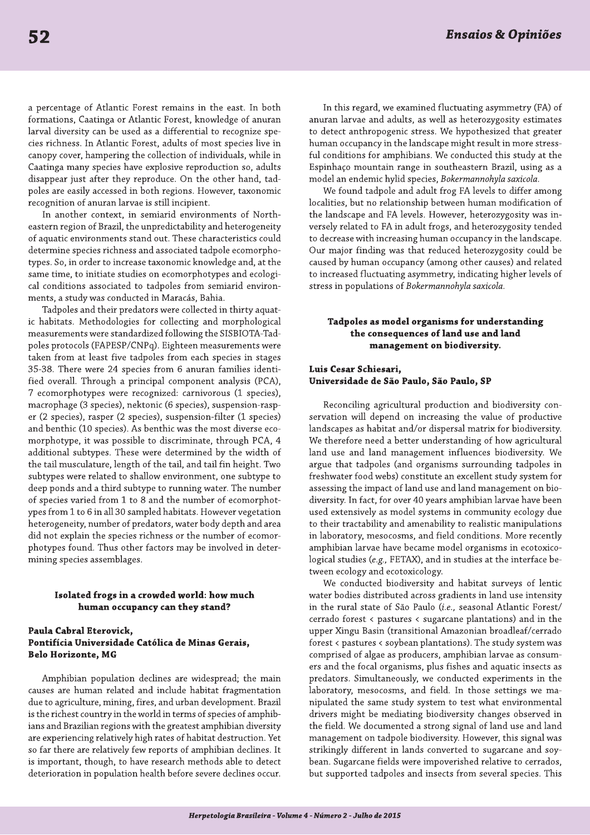a percentage of Atlantic Forest remains in the east. In both formations, Caatinga or Atlantic Forest, knowledge of anuran larval diversity can be used as a differential to recognize species richness. In Atlantic Forest, adults of most species live in canopy cover, hampering the collection of individuals, while in Caatinga many species have explosive reproduction so, adults disappear just after they reproduce. On the other hand, tadpoles are easily accessed in both regions. However, taxonomic recognition of anuran larvae is still incipient.

In another context, in semiarid environments of Northeastern region of Brazil, the unpredictability and heterogeneity of aquatic environments stand out. These characteristics could determine species richness and associated tadpole ecomorphotypes. So, in order to increase taxonomic knowledge and, at the same time, to initiate studies on ecomorphotypes and ecological conditions associated to tadpoles from semiarid environments, a study was conducted in Maracás, Bahia.

Tadpoles and their predators were collected in thirty aquatic habitats. Methodologies for collecting and morphological measurements were standardized following the SISBIOTA-Tadpoles protocols (FAPESP/CNPq). Eighteen measurements were taken from at least five tadpoles from each species in stages 35-38. There were 24 species from 6 anuran families identified overall. Through a principal component analysis (PCA), 7 ecomorphotypes were recognized: carnivorous (1 species), macrophage (3 species), nektonic (6 species), suspension-rasper (2 species), rasper (2 species), suspension-filter (1 species) and benthic (10 species). As benthic was the most diverse ecomorphotype, it was possible to discriminate, through PCA, 4 additional subtypes. These were determined by the width of the tail musculature, length of the tail, and tail fin height. Two subtypes were related to shallow environment, one subtype to deep ponds and a third subtype to running water. The number of species varied from 1 to 8 and the number of ecomorphotypes from 1 to 6 in all 30 sampled habitats. However vegetation heterogeneity, number of predators, water body depth and area did not explain the species richness or the number of ecomorphotypes found. Thus other factors may be involved in determining species assemblages.

#### Isolated frogs in a crowded world: how much human occupancy can they stand?

# Paula Cabral Eterovick, Pontifícia Universidade Católica de Minas Gerais, **Belo Horizonte, MG**

Amphibian population declines are widespread; the main causes are human related and include habitat fragmentation due to agriculture, mining, fires, and urban development. Brazil is the richest country in the world in terms of species of amphibians and Brazilian regions with the greatest amphibian diversity are experiencing relatively high rates of habitat destruction. Yet so far there are relatively few reports of amphibian declines. It is important, though, to have research methods able to detect deterioration in population health before severe declines occur.

In this regard, we examined fluctuating asymmetry (FA) of anuran larvae and adults, as well as heterozygosity estimates to detect anthropogenic stress. We hypothesized that greater human occupancy in the landscape might result in more stressful conditions for amphibians. We conducted this study at the Espinhaço mountain range in southeastern Brazil, using as a model an endemic hylid species, Bokermannohyla saxicola.

We found tadpole and adult frog FA levels to differ among localities, but no relationship between human modification of the landscape and FA levels. However, heterozygosity was inversely related to FA in adult frogs, and heterozygosity tended to decrease with increasing human occupancy in the landscape. Our major finding was that reduced heterozygosity could be caused by human occupancy (among other causes) and related to increased fluctuating asymmetry, indicating higher levels of stress in populations of Bokermannohyla saxicola.

# Tadpoles as model organisms for understanding the consequences of land use and land management on biodiversity.

# Luis Cesar Schiesari, Universidade de São Paulo, São Paulo, SP

Reconciling agricultural production and biodiversity conservation will depend on increasing the value of productive landscapes as habitat and/or dispersal matrix for biodiversity. We therefore need a better understanding of how agricultural land use and land management influences biodiversity. We argue that tadpoles (and organisms surrounding tadpoles in freshwater food webs) constitute an excellent study system for assessing the impact of land use and land management on biodiversity. In fact, for over 40 years amphibian larvae have been used extensively as model systems in community ecology due to their tractability and amenability to realistic manipulations in laboratory, mesocosms, and field conditions. More recently amphibian larvae have became model organisms in ecotoxicological studies (e.g., FETAX), and in studies at the interface between ecology and ecotoxicology.

We conducted biodiversity and habitat surveys of lentic water bodies distributed across gradients in land use intensity in the rural state of São Paulo (i.e., seasonal Atlantic Forest/ cerrado forest < pastures < sugarcane plantations) and in the upper Xingu Basin (transitional Amazonian broadleaf/cerrado forest < pastures < soybean plantations). The study system was comprised of algae as producers, amphibian larvae as consumers and the focal organisms, plus fishes and aquatic insects as predators. Simultaneously, we conducted experiments in the laboratory, mesocosms, and field. In those settings we manipulated the same study system to test what environmental drivers might be mediating biodiversity changes observed in the field. We documented a strong signal of land use and land management on tadpole biodiversity. However, this signal was strikingly different in lands converted to sugarcane and soybean. Sugarcane fields were impoverished relative to cerrados, but supported tadpoles and insects from several species. This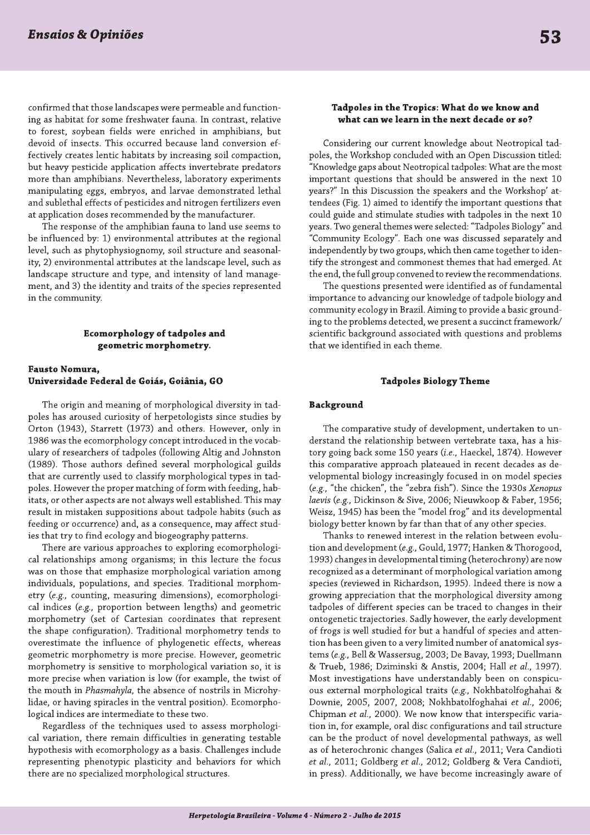confirmed that those landscapes were permeable and functioning as habitat for some freshwater fauna. In contrast, relative to forest, soybean fields were enriched in amphibians, but devoid of insects. This occurred because land conversion effectively creates lentic habitats by increasing soil compaction, but heavy pesticide application affects invertebrate predators more than amphibians. Nevertheless, laboratory experiments manipulating eggs, embryos, and larvae demonstrated lethal and sublethal effects of pesticides and nitrogen fertilizers even at application doses recommended by the manufacturer.

The response of the amphibian fauna to land use seems to be influenced by: 1) environmental attributes at the regional level, such as phytophysiognomy, soil structure and seasonality, 2) environmental attributes at the landscape level, such as landscape structure and type, and intensity of land management, and 3) the identity and traits of the species represented in the community.

#### **Ecomorphology of tadpoles and** geometric morphometry.

### Fausto Nomura, Universidade Federal de Goiás, Goiânia, GO

The origin and meaning of morphological diversity in tadpoles has aroused curiosity of herpetologists since studies by Orton (1943), Starrett (1973) and others. However, only in 1986 was the ecomorphology concept introduced in the vocabulary of researchers of tadpoles (following Altig and Johnston (1989). Those authors defined several morphological guilds that are currently used to classify morphological types in tadpoles. However the proper matching of form with feeding, habitats, or other aspects are not always well established. This may result in mistaken suppositions about tadpole habits (such as feeding or occurrence) and, as a consequence, may affect studies that try to find ecology and biogeography patterns.

There are various approaches to exploring ecomorphological relationships among organisms; in this lecture the focus was on those that emphasize morphological variation among individuals, populations, and species. Traditional morphometry (e.g., counting, measuring dimensions), ecomorphological indices (e.g., proportion between lengths) and geometric morphometry (set of Cartesian coordinates that represent the shape configuration). Traditional morphometry tends to overestimate the influence of phylogenetic effects, whereas geometric morphometry is more precise. However, geometric morphometry is sensitive to morphological variation so, it is more precise when variation is low (for example, the twist of the mouth in Phasmahyla, the absence of nostrils in Microhylidae, or having spiracles in the ventral position). Ecomorphological indices are intermediate to these two.

Regardless of the techniques used to assess morphological variation, there remain difficulties in generating testable hypothesis with ecomorphology as a basis. Challenges include representing phenotypic plasticity and behaviors for which there are no specialized morphological structures.

# Tadpoles in the Tropics: What do we know and what can we learn in the next decade or so?

Considering our current knowledge about Neotropical tadpoles, the Workshop concluded with an Open Discussion titled: "Knowledge gaps about Neotropical tadpoles: What are the most important questions that should be answered in the next 10 years?" In this Discussion the speakers and the Workshop' attendees (Fig. 1) aimed to identify the important questions that could guide and stimulate studies with tadpoles in the next 10 years. Two general themes were selected: "Tadpoles Biology" and "Community Ecology". Each one was discussed separately and independently by two groups, which then came together to identify the strongest and commonest themes that had emerged. At the end, the full group convened to review the recommendations.

The questions presented were identified as of fundamental importance to advancing our knowledge of tadpole biology and community ecology in Brazil. Aiming to provide a basic grounding to the problems detected, we present a succinct framework/ scientific background associated with questions and problems that we identified in each theme.

#### **Tadpoles Biology Theme**

#### **Background**

The comparative study of development, undertaken to understand the relationship between vertebrate taxa, has a history going back some 150 years (i.e., Haeckel, 1874). However this comparative approach plateaued in recent decades as developmental biology increasingly focused in on model species (e.g., "the chicken", the "zebra fish"). Since the 1930s Xenopus laevis (e.g., Dickinson & Sive, 2006; Nieuwkoop & Faber, 1956; Weisz, 1945) has been the "model frog" and its developmental biology better known by far than that of any other species.

Thanks to renewed interest in the relation between evolution and development (e.g., Gould, 1977; Hanken & Thorogood, 1993) changes in developmental timing (heterochrony) are now recognized as a determinant of morphological variation among species (reviewed in Richardson, 1995). Indeed there is now a growing appreciation that the morphological diversity among tadpoles of different species can be traced to changes in their ontogenetic trajectories. Sadly however, the early development of frogs is well studied for but a handful of species and attention has been given to a very limited number of anatomical systems (e.g., Bell & Wassersug, 2003; De Bavay, 1993; Duellmann & Trueb, 1986; Dziminski & Anstis, 2004; Hall et al., 1997). Most investigations have understandably been on conspicuous external morphological traits (e.g., Nokhbatolfoghahai & Downie, 2005, 2007, 2008; Nokhbatolfoghahai et al., 2006; Chipman et al., 2000). We now know that interspecific variation in, for example, oral disc configurations and tail structure can be the product of novel developmental pathways, as well as of heterochronic changes (Salica et al., 2011; Vera Candioti et al., 2011; Goldberg et al., 2012; Goldberg & Vera Candioti, in press). Additionally, we have become increasingly aware of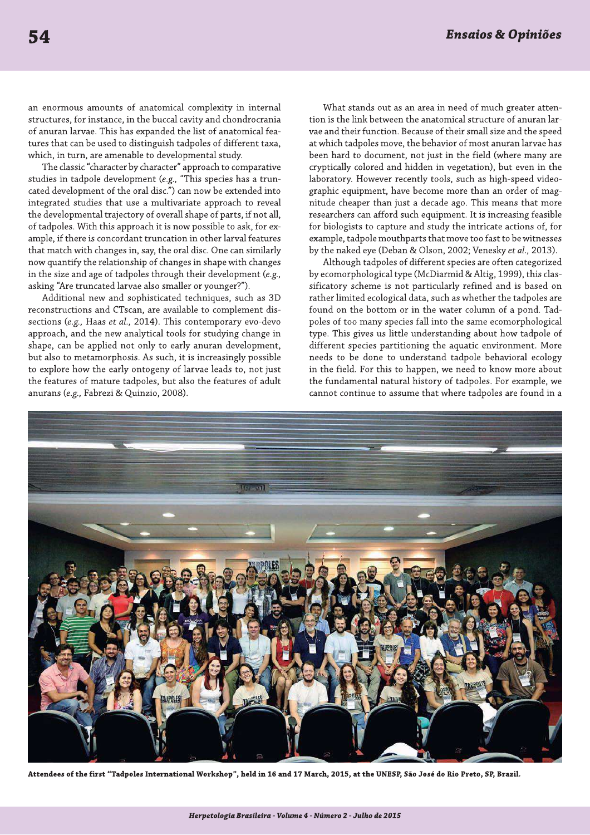an enormous amounts of anatomical complexity in internal structures, for instance, in the buccal cavity and chondrocrania of anuran larvae. This has expanded the list of anatomical features that can be used to distinguish tadpoles of different taxa, which, in turn, are amenable to developmental study.

The classic "character by character" approach to comparative studies in tadpole development ( $e.g.,$  "This species has a truncated development of the oral disc.") can now be extended into integrated studies that use a multivariate approach to reveal the developmental trajectory of overall shape of parts, if not all, of tadpoles. With this approach it is now possible to ask, for example, if there is concordant truncation in other larval features that match with changes in, say, the oral disc. One can similarly now quantify the relationship of changes in shape with changes in the size and age of tadpoles through their development (e.g., asking "Are truncated larvae also smaller or younger?").

Additional new and sophisticated techniques, such as 3D reconstructions and CTscan, are available to complement dissections (e.g., Haas et al., 2014). This contemporary evo-devo approach, and the new analytical tools for studying change in shape, can be applied not only to early anuran development, but also to metamorphosis. As such, it is increasingly possible to explore how the early ontogeny of larvae leads to, not just the features of mature tadpoles, but also the features of adult anurans (e.g., Fabrezi & Quinzio, 2008).

What stands out as an area in need of much greater attention is the link between the anatomical structure of anuran larvae and their function. Because of their small size and the speed at which tadpoles move, the behavior of most anuran larvae has been hard to document, not just in the field (where many are cryptically colored and hidden in vegetation), but even in the laboratory. However recently tools, such as high-speed videographic equipment, have become more than an order of magnitude cheaper than just a decade ago. This means that more researchers can afford such equipment. It is increasing feasible for biologists to capture and study the intricate actions of, for example, tadpole mouthparts that move too fast to be witnesses by the naked eye (Deban & Olson, 2002; Venesky et al., 2013).

Although tadpoles of different species are often categorized by ecomorphological type (McDiarmid & Altig, 1999), this classificatory scheme is not particularly refined and is based on rather limited ecological data, such as whether the tadpoles are found on the bottom or in the water column of a pond. Tadpoles of too many species fall into the same ecomorphological type. This gives us little understanding about how tadpole of different species partitioning the aquatic environment. More needs to be done to understand tadpole behavioral ecology in the field. For this to happen, we need to know more about the fundamental natural history of tadpoles. For example, we cannot continue to assume that where tadpoles are found in a



Attendees of the first "Tadpoles International Workshop", held in 16 and 17 March, 2015, at the UNESP, São José do Rio Preto, SP, Brazil.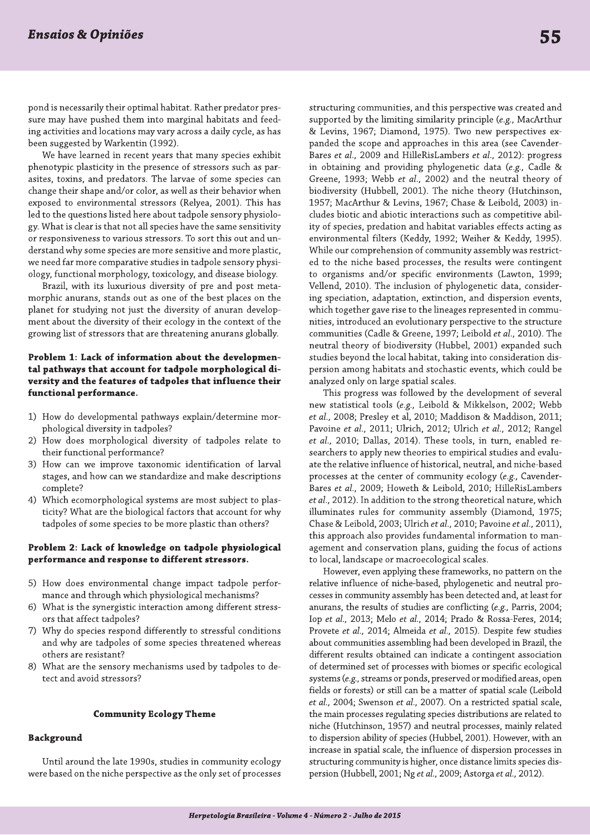pond is necessarily their optimal habitat. Rather predator pressure may have pushed them into marginal habitats and feeding activities and locations may vary across a daily cycle, as has been suggested by Warkentin (1992).

We have learned in recent years that many species exhibit phenotypic plasticity in the presence of stressors such as parasites, toxins, and predators. The larvae of some species can change their shape and/or color, as well as their behavior when exposed to environmental stressors (Relyea, 2001). This has led to the questions listed here about tadpole sensory physiology. What is clear is that not all species have the same sensitivity or responsiveness to various stressors. To sort this out and understand why some species are more sensitive and more plastic, we need far more comparative studies in tadpole sensory physiology, functional morphology, toxicology, and disease biology.

Brazil, with its luxurious diversity of pre and post metamorphic anurans, stands out as one of the best places on the planet for studying not just the diversity of anuran development about the diversity of their ecology in the context of the growing list of stressors that are threatening anurans globally.

# Problem 1: Lack of information about the developmental pathways that account for tadpole morphological diversity and the features of tadpoles that influence their functional performance.

- 1) How do developmental pathways explain/determine morphological diversity in tadpoles?
- 2) How does morphological diversity of tadpoles relate to their functional performance?
- 3) How can we improve taxonomic identification of larval stages, and how can we standardize and make descriptions complete?
- $4)$ Which ecomorphological systems are most subject to plasticity? What are the biological factors that account for why tadpoles of some species to be more plastic than others?

# Problem 2: Lack of knowledge on tadpole physiological performance and response to different stressors.

- 5) How does environmental change impact tadpole performance and through which physiological mechanisms?
- What is the synergistic interaction among different stress- $6)$ ors that affect tadpoles?
- 7) Why do species respond differently to stressful conditions and why are tadpoles of some species threatened whereas others are resistant?
- What are the sensory mechanisms used by tadpoles to de-8) tect and avoid stressors?

#### **Community Ecology Theme**

#### **Background**

Until around the late 1990s, studies in community ecology were based on the niche perspective as the only set of processes structuring communities, and this perspective was created and supported by the limiting similarity principle (e.g., MacArthur & Levins, 1967; Diamond, 1975). Two new perspectives expanded the scope and approaches in this area (see Cavender-Bares et al., 2009 and HilleRisLambers et al., 2012): progress in obtaining and providing phylogenetic data (e.g., Cadle & Greene, 1993; Webb et al., 2002) and the neutral theory of biodiversity (Hubbell, 2001). The niche theory (Hutchinson, 1957; MacArthur & Levins, 1967; Chase & Leibold, 2003) includes biotic and abiotic interactions such as competitive ability of species, predation and habitat variables effects acting as environmental filters (Keddy, 1992; Weiher & Keddy, 1995). While our comprehension of community assembly was restricted to the niche based processes, the results were contingent to organisms and/or specific environments (Lawton, 1999; Vellend, 2010). The inclusion of phylogenetic data, considering speciation, adaptation, extinction, and dispersion events, which together gave rise to the lineages represented in communities, introduced an evolutionary perspective to the structure communities (Cadle & Greene, 1997; Leibold et al., 2010). The neutral theory of biodiversity (Hubbel, 2001) expanded such studies beyond the local habitat, taking into consideration dispersion among habitats and stochastic events, which could be analyzed only on large spatial scales.

This progress was followed by the development of several new statistical tools (e.g., Leibold & Mikkelson, 2002; Webb et al., 2008; Presley et al, 2010; Maddison & Maddison, 2011; Pavoine et al., 2011; Ulrich, 2012; Ulrich et al., 2012; Rangel et al., 2010; Dallas, 2014). These tools, in turn, enabled researchers to apply new theories to empirical studies and evaluate the relative influence of historical, neutral, and niche-based processes at the center of community ecology (e.g., Cavender-Bares et al., 2009; Howeth & Leibold, 2010; HilleRisLambers et al., 2012). In addition to the strong theoretical nature, which illuminates rules for community assembly (Diamond, 1975; Chase & Leibold, 2003; Ulrich et al., 2010; Pavoine et al., 2011), this approach also provides fundamental information to management and conservation plans, guiding the focus of actions to local, landscape or macroecological scales.

However, even applying these frameworks, no pattern on the relative influence of niche-based, phylogenetic and neutral processes in community assembly has been detected and, at least for anurans, the results of studies are conflicting (e.g., Parris, 2004; Iop et al., 2013; Melo et al., 2014; Prado & Rossa-Feres, 2014; Provete et al., 2014; Almeida et al., 2015). Despite few studies about communities assembling had been developed in Brazil, the different results obtained can indicate a contingent association of determined set of processes with biomes or specific ecological systems (e.g., streams or ponds, preserved or modified areas, open fields or forests) or still can be a matter of spatial scale (Leibold et al., 2004; Swenson et al., 2007). On a restricted spatial scale, the main processes regulating species distributions are related to niche (Hutchinson, 1957) and neutral processes, mainly related to dispersion ability of species (Hubbel, 2001). However, with an increase in spatial scale, the influence of dispersion processes in structuring community is higher, once distance limits species dispersion (Hubbell, 2001; Ng et al., 2009; Astorga et al., 2012).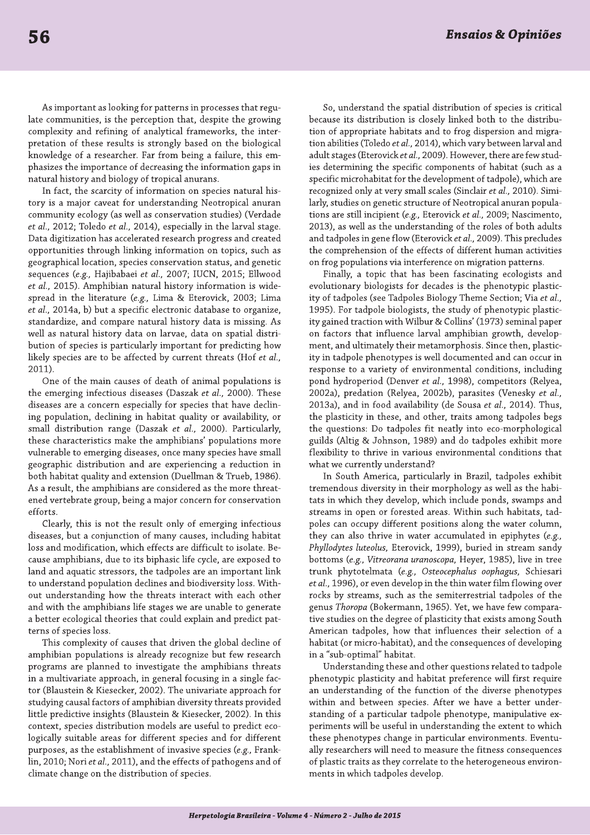As important as looking for patterns in processes that regulate communities, is the perception that, despite the growing complexity and refining of analytical frameworks, the interpretation of these results is strongly based on the biological knowledge of a researcher. Far from being a failure, this emphasizes the importance of decreasing the information gaps in natural history and biology of tropical anurans.

In fact, the scarcity of information on species natural history is a major caveat for understanding Neotropical anuran community ecology (as well as conservation studies) (Verdade et al., 2012; Toledo et al., 2014), especially in the larval stage. Data digitization has accelerated research progress and created opportunities through linking information on topics, such as geographical location, species conservation status, and genetic sequences (e.g., Hajibabaei et al., 2007; IUCN, 2015; Ellwood et al., 2015). Amphibian natural history information is widespread in the literature (e.g., Lima & Eterovick, 2003; Lima et al., 2014a, b) but a specific electronic database to organize, standardize, and compare natural history data is missing. As well as natural history data on larvae, data on spatial distribution of species is particularly important for predicting how likely species are to be affected by current threats (Hof et al.,  $2011$ ).

One of the main causes of death of animal populations is the emerging infectious diseases (Daszak et al., 2000). These diseases are a concern especially for species that have declining population, declining in habitat quality or availability, or small distribution range (Daszak et al., 2000). Particularly, these characteristics make the amphibians' populations more vulnerable to emerging diseases, once many species have small geographic distribution and are experiencing a reduction in both habitat quality and extension (Duellman & Trueb, 1986). As a result, the amphibians are considered as the more threatened vertebrate group, being a major concern for conservation efforts.

Clearly, this is not the result only of emerging infectious diseases, but a conjunction of many causes, including habitat loss and modification, which effects are difficult to isolate. Because amphibians, due to its biphasic life cycle, are exposed to land and aquatic stressors, the tadpoles are an important link to understand population declines and biodiversity loss. Without understanding how the threats interact with each other and with the amphibians life stages we are unable to generate a better ecological theories that could explain and predict patterns of species loss.

This complexity of causes that driven the global decline of amphibian populations is already recognize but few research programs are planned to investigate the amphibians threats in a multivariate approach, in general focusing in a single factor (Blaustein & Kiesecker, 2002). The univariate approach for studying causal factors of amphibian diversity threats provided little predictive insights (Blaustein & Kiesecker, 2002). In this context, species distribution models are useful to predict ecologically suitable areas for different species and for different purposes, as the establishment of invasive species (e.g., Franklin, 2010; Nori et al., 2011), and the effects of pathogens and of climate change on the distribution of species.

So, understand the spatial distribution of species is critical because its distribution is closely linked both to the distribution of appropriate habitats and to frog dispersion and migration abilities (Toledo et al., 2014), which vary between larval and adult stages (Eterovick et al., 2009). However, there are few studies determining the specific components of habitat (such as a specific microhabitat for the development of tadpole), which are recognized only at very small scales (Sinclair et al., 2010). Similarly, studies on genetic structure of Neotropical anuran populations are still incipient (e.g., Eterovick et al., 2009; Nascimento, 2013), as well as the understanding of the roles of both adults and tadpoles in gene flow (Eterovick et al., 2009). This precludes the comprehension of the effects of different human activities on frog populations via interference on migration patterns.

Finally, a topic that has been fascinating ecologists and evolutionary biologists for decades is the phenotypic plasticity of tadpoles (see Tadpoles Biology Theme Section; Via et al., 1995). For tadpole biologists, the study of phenotypic plasticity gained traction with Wilbur & Collins' (1973) seminal paper on factors that influence larval amphibian growth, development, and ultimately their metamorphosis. Since then, plasticity in tadpole phenotypes is well documented and can occur in response to a variety of environmental conditions, including pond hydroperiod (Denver et al., 1998), competitors (Relyea, 2002a), predation (Relyea, 2002b), parasites (Venesky et al., 2013a), and in food availability (de Sousa et al., 2014). Thus, the plasticity in these, and other, traits among tadpoles begs the questions: Do tadpoles fit neatly into eco-morphological guilds (Altig & Johnson, 1989) and do tadpoles exhibit more flexibility to thrive in various environmental conditions that what we currently understand?

In South America, particularly in Brazil, tadpoles exhibit tremendous diversity in their morphology as well as the habitats in which they develop, which include ponds, swamps and streams in open or forested areas. Within such habitats, tadpoles can occupy different positions along the water column, they can also thrive in water accumulated in epiphytes (e.g., Phyllodytes luteolus, Eterovick, 1999), buried in stream sandy bottoms (e.g., Vitreorana uranoscopa, Heyer, 1985), live in tree trunk phytotelmata (e.g., Osteocephalus oophagus, Schiesari et al., 1996), or even develop in the thin water film flowing over rocks by streams, such as the semiterrestrial tadpoles of the genus Thoropa (Bokermann, 1965). Yet, we have few comparative studies on the degree of plasticity that exists among South American tadpoles, how that influences their selection of a habitat (or micro-habitat), and the consequences of developing in a "sub-optimal" habitat.

Understanding these and other questions related to tadpole phenotypic plasticity and habitat preference will first require an understanding of the function of the diverse phenotypes within and between species. After we have a better understanding of a particular tadpole phenotype, manipulative experiments will be useful in understanding the extent to which these phenotypes change in particular environments. Eventually researchers will need to measure the fitness consequences of plastic traits as they correlate to the heterogeneous environments in which tadpoles develop.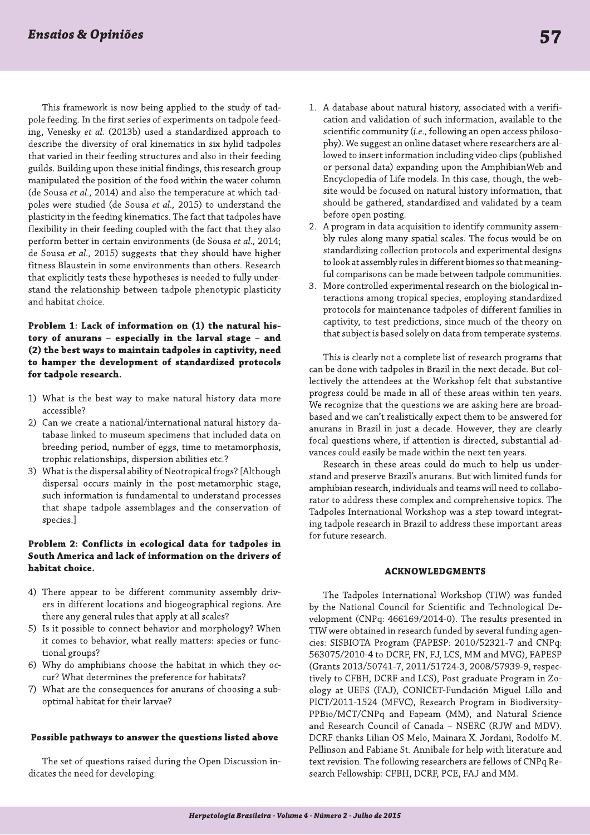This framework is now being applied to the study of tadpole feeding. In the first series of experiments on tadpole feeding, Venesky et al. (2013b) used a standardized approach to describe the diversity of oral kinematics in six hylid tadpoles that varied in their feeding structures and also in their feeding guilds. Building upon these initial findings, this research group manipulated the position of the food within the water column (de Sousa et al., 2014) and also the temperature at which tadpoles were studied (de Sousa et al., 2015) to understand the plasticity in the feeding kinematics. The fact that tadpoles have flexibility in their feeding coupled with the fact that they also perform better in certain environments (de Sousa et al., 2014; de Sousa et al., 2015) suggests that they should have higher fitness Blaustein in some environments than others. Research that explicitly tests these hypotheses is needed to fully understand the relationship between tadpole phenotypic plasticity and habitat choice.

Problem 1: Lack of information on (1) the natural history of anurans - especially in the larval stage - and (2) the best ways to maintain tadpoles in captivity, need to hamper the development of standardized protocols for tadpole research.

- 1) What is the best way to make natural history data more accessible?
- $2)$ Can we create a national/international natural history database linked to museum specimens that included data on breeding period, number of eggs, time to metamorphosis, trophic relationships, dispersion abilities etc.?
- 3) What is the dispersal ability of Neotropical frogs? [Although dispersal occurs mainly in the post-metamorphic stage, such information is fundamental to understand processes that shape tadpole assemblages and the conservation of species.]

# Problem 2: Conflicts in ecological data for tadpoles in South America and lack of information on the drivers of habitat choice.

- 4) There appear to be different community assembly drivers in different locations and biogeographical regions. Are there any general rules that apply at all scales?
- 5) Is it possible to connect behavior and morphology? When it comes to behavior, what really matters: species or functional groups?
- 6) Why do amphibians choose the habitat in which they occur? What determines the preference for habitats?
- What are the consequences for anurans of choosing a sub- $7)$ optimal habitat for their larvae?

# Possible pathways to answer the questions listed above

The set of questions raised during the Open Discussion indicates the need for developing:

- 1. A database about natural history, associated with a verification and validation of such information, available to the scientific community (i.e., following an open access philosophy). We suggest an online dataset where researchers are allowed to insert information including video clips (published or personal data) expanding upon the AmphibianWeb and Encyclopedia of Life models. In this case, though, the website would be focused on natural history information, that should be gathered, standardized and validated by a team before open posting.
- 2. A program in data acquisition to identify community assembly rules along many spatial scales. The focus would be on standardizing collection protocols and experimental designs to look at assembly rules in different biomes so that meaningful comparisons can be made between tadpole communities.
- 3. More controlled experimental research on the biological interactions among tropical species, employing standardized protocols for maintenance tadpoles of different families in captivity, to test predictions, since much of the theory on that subject is based solely on data from temperate systems.

This is clearly not a complete list of research programs that can be done with tadpoles in Brazil in the next decade. But collectively the attendees at the Workshop felt that substantive progress could be made in all of these areas within ten years. We recognize that the questions we are asking here are broadbased and we can't realistically expect them to be answered for anurans in Brazil in just a decade. However, they are clearly focal questions where, if attention is directed, substantial advances could easily be made within the next ten years.

Research in these areas could do much to help us understand and preserve Brazil's anurans. But with limited funds for amphibian research, individuals and teams will need to collaborator to address these complex and comprehensive topics. The Tadpoles International Workshop was a step toward integrating tadpole research in Brazil to address these important areas for future research.

# **ACKNOWLEDGMENTS**

The Tadpoles International Workshop (TIW) was funded by the National Council for Scientific and Technological Development (CNPq: 466169/2014-0). The results presented in TIW were obtained in research funded by several funding agencies: SISBIOTA Program (FAPESP: 2010/52321-7 and CNPq: 563075/2010-4 to DCRF, FN, FJ, LCS, MM and MVG), FAPESP (Grants 2013/50741-7, 2011/51724-3, 2008/57939-9, respectively to CFBH, DCRF and LCS), Post graduate Program in Zoology at UEFS (FAJ), CONICET-Fundación Miguel Lillo and PICT/2011-1524 (MFVC), Research Program in Biodiversity-PPBio/MCT/CNPq and Fapeam (MM), and Natural Science and Research Council of Canada - NSERC (RJW and MDV). DCRF thanks Lilian OS Melo, Mainara X. Jordani, Rodolfo M. Pellinson and Fabiane St. Annibale for help with literature and text revision. The following researchers are fellows of CNPq Research Fellowship: CFBH, DCRF, PCE, FAJ and MM.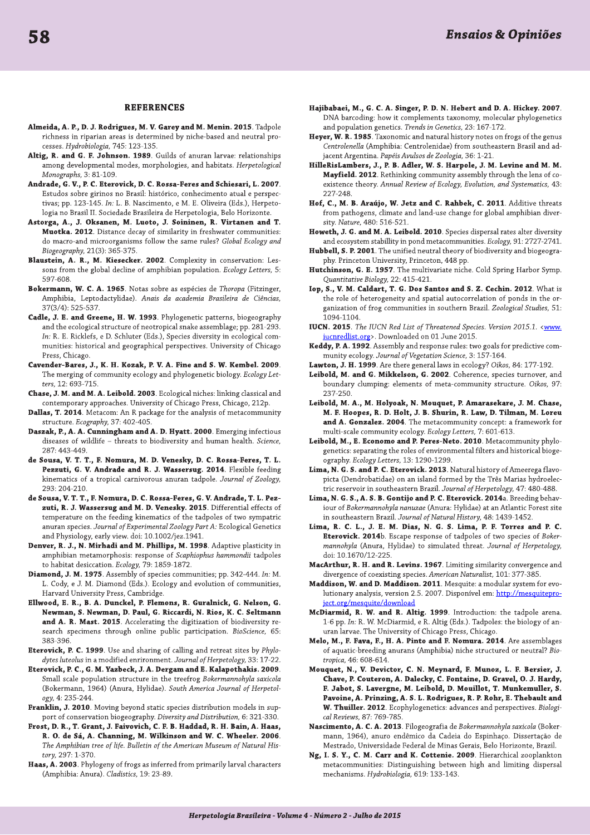#### **REFERENCES**

- Almeida, A. P., D. J. Rodrigues, M. V. Garey and M. Menin. 2015. Tadpole richness in riparian areas is determined by niche-based and neutral processes. Hydrobiologia, 745: 123-135.
- Altig, R. and G. F. Johnson. 1989. Guilds of anuran larvae: relationships among developmental modes, morphologies, and habitats. Herpetological Monographs, 3: 81-109.
- Andrade, G. V., P. C. Eterovick, D. C. Rossa-Feres and Schiesari, L. 2007. Estudos sobre girinos no Brasil: histórico, conhecimento atual e perspectivas; pp. 123-145. In: L. B. Nascimento, e M. E. Oliveira (Eds.), Herpetologia no Brasil II. Sociedade Brasileira de Herpetologia, Belo Horizonte.
- Astorga, A., J. Oksanen, M. Luoto, J. Soininen, R. Virtanen and T. Muotka. 2012. Distance decay of similarity in freshwater communities: do macro-and microorganisms follow the same rules? Global Ecology and Biogeography, 21(3): 365-375.
- Blaustein, A. R., M. Kiesecker. 2002. Complexity in conservation: Lessons from the global decline of amphibian population. Ecology Letters, 5: 597-608
- Bokermann, W. C. A. 1965. Notas sobre as espécies de Thoropa (Fitzinger, Amphibia, Leptodactylidae). Anais da academia Brasileira de Ciências, 37(3/4): 525-537.
- Cadle, J. E. and Greene, H. W. 1993. Phylogenetic patterns, biogeography and the ecological structure of neotropical snake assemblage; pp. 281-293. In: R. E. Ricklefs, e D. Schluter (Eds.), Species diversity in ecological communities: historical and geographical perspectives. University of Chicago Press, Chicago.
- Cavender-Bares, J., K. H. Kozak, P. V. A. Fine and S. W. Kembel. 2009. The merging of community ecology and phylogenetic biology. Ecology Letters, 12: 693-715.
- Chase, J. M. and M. A. Leibold. 2003. Ecological niches: linking classical and contemporary approaches. University of Chicago Press, Chicago, 212p.
- Dallas, T. 2014. Metacom: An R package for the analysis of metacommunity structure. Ecography, 37: 402-405.
- Daszak, P., A. A. Cunningham and A. D. Hyatt. 2000. Emerging infectious diseases of wildlife - threats to biodiversity and human health. Science, 287: 443-449.
- de Sousa, V. T. T., F. Nomura, M. D. Venesky, D. C. Rossa-Feres, T. L. Pezzuti, G. V. Andrade and R. J. Wassersug. 2014. Flexible feeding kinematics of a tropical carnivorous anuran tadpole. Journal of Zoology, 293: 204-210.
- de Sousa, V. T. T., F. Nomura, D. C. Rossa-Feres, G. V. Andrade, T. L. Pezzuti, R. J. Wassersug and M. D. Venesky. 2015. Differential effects of temperature on the feeding kinematics of the tadpoles of two sympatric anuran species. Journal of Experimental Zoology Part A: Ecological Genetics and Physiology, early view. doi: 10.1002/jez.1941.
- Denver, R. J., N. Mirhadi and M. Phillips, M. 1998. Adaptive plasticity in amphibian metamorphosis: response of Scaphiophus hammondii tadpoles to habitat desiccation. Ecology, 79: 1859-1872.
- Diamond, J. M. 1975. Assembly of species communities; pp. 342-444. In: M. L. Cody, e J. M. Diamond (Eds.). Ecology and evolution of communities, Harvard University Press, Cambridge.
- Ellwood, E. R., B. A. Dunckel, P. Flemons, R. Guralnick, G. Nelson, G. Newman, S. Newman, D. Paul, G. Riccardi, N. Rios, K. C. Seltmann and A. R. Mast. 2015. Accelerating the digitization of biodiversity research specimens through online public participation. BioScience, 65: 383-396.
- Eterovick, P. C. 1999. Use and sharing of calling and retreat sites by Phylodytes luteolus in a modified enrironment. Journal of Herpetology, 33: 17-22.
- Eterovick, P. C., G. M. Yazbeck, J. A. Dergam and E. Kalapothakis. 2009. Small scale population structure in the treefrog Bokermannohyla saxicola (Bokermann, 1964) (Anura, Hylidae). South America Journal of Herpetology, 4: 235-244.
- Franklin, J. 2010. Moving beyond static species distribution models in support of conservation biogeography. Diversity and Distribution, 6: 321-330.
- Frost, D. R., T. Grant, J. Faivovich, C. F. B. Haddad, R. H. Bain, A. Haas, R. O. de Sá, A. Channing, M. Wilkinson and W. C. Wheeler. 2006. The Amphibian tree of life. Bulletin of the American Museum of Natural History, 297: 1-370.
- Haas, A. 2003. Phylogeny of frogs as inferred from primarily larval characters (Amphibia: Anura). Cladistics, 19: 23-89.
- Hajibabaei, M., G. C. A. Singer, P. D. N. Hebert and D. A. Hickey. 2007. DNA barcoding: how it complements taxonomy, molecular phylogenetics and population genetics. Trends in Genetics, 23: 167-172.
- Heyer, W. R. 1985. Taxonomic and natural history notes on frogs of the genus Centrolenella (Amphibia: Centrolenidae) from southeastern Brasil and adjacent Argentina. Papéis Avulsos de Zoologia, 36: 1-21.
- HilleRisLambers, J., P. B. Adler, W. S. Harpole, J. M. Levine and M. M. Mayfield. 2012. Rethinking community assembly through the lens of coexistence theory. Annual Review of Ecology, Evolution, and Systematics, 43: 227-248.
- Hof, C., M. B. Araújo, W. Jetz and C. Rahbek, C. 2011. Additive threats from pathogens, climate and land-use change for global amphibian diversity. Nature, 480: 516-521.
- Howeth, J. G. and M. A. Leibold. 2010. Species dispersal rates alter diversity and ecosystem stabillity in pond metacommunities. Ecology, 91: 2727-2741.
- Hubbell, S. P. 2001. The unified neutral theory of biodiversity and biogeography. Princeton University, Princeton, 448 pp.
- Hutchinson, G. E. 1957. The multivariate niche. Cold Spring Harbor Symp. Quantitative Biology, 22: 415-421.
- Iop, S., V. M. Caldart, T. G. Dos Santos and S. Z. Cechin. 2012. What is the role of heterogeneity and spatial autocorrelation of ponds in the organization of frog communities in southern Brazil. Zoological Studies, 51: 1094-1104.
- IUCN. 2015. The IUCN Red List of Threatened Species. Version 2015.1. < www. iucnredlist.org>. Downloaded on 01 June 2015.
- Keddy, P. A. 1992. Assembly and response rules: two goals for predictive community ecology. Journal of Vegetation Science, 3: 157-164.
- Lawton, J. H. 1999. Are there general laws in ecology? Oikos, 84: 177-192.
- Leibold, M. and G. Mikkelson, G. 2002. Coherence, species turnover, and boundary clumping: elements of meta-community structure. Oikos, 97: 237-250
- Leibold, M. A., M. Holyoak, N. Mouquet, P. Amarasekare, J. M. Chase, M. F. Hoopes, R. D. Holt, J. B. Shurin, R. Law, D. Tilman, M. Loreu and A. Gonzalez. 2004. The metacommunity concept: a framework for multi-scale community ecology. Ecology Letters, 7: 601-613.
- Leibold, M., E. Economo and P. Peres-Neto. 2010. Metacommunity phylogenetics: separating the roles of environmental filters and historical biogeography. Ecology Letters, 13: 1290-1299.
- Lima, N. G. S. and P. C. Eterovick. 2013. Natural history of Ameerega flavopicta (Dendrobatidae) on an island formed by the Três Marias hydroelectric reservoir in southeastern Brazil. Journal of Herpetology, 47: 480-488.
- Lima, N. G. S., A. S. B. Gontijo and P. C. Eterovick. 2014a. Breeding behaviour of Bokermannohyla nanuzae (Anura: Hylidae) at an Atlantic Forest site in southeastern Brazil. Journal of Natural History, 48: 1439-1452.
- Lima, R. C. L., J. E. M. Dias, N. G. S. Lima, P. F. Torres and P. C. Eterovick. 2014b. Escape response of tadpoles of two species of Bokermannohyla (Anura, Hylidae) to simulated threat. Journal of Herpetology, doi: 10.1670/12-225.
- MacArthur, R. H. and R. Levins. 1967. Limiting similarity convergence and divergence of coexisting species. American Naturalist, 101: 377-385.
- Maddison, W. and D. Maddison. 2011. Mesquite: a modular system for evolutionary analysis, version 2.5. 2007. Disponível em: http://mesquiteproject.org/mesquite/download
- McDiarmid, R. W. and R. Altig. 1999. Introduction: the tadpole arena. 1-6 pp. In: R. W. McDiarmid, e R. Altig (Eds.). Tadpoles: the biology of anuran larvae. The University of Chicago Press, Chicago.
- Melo, M., F. Fava, F., H. A. Pinto and F. Nomura. 2014. Are assemblages of aquatic-breeding anurans (Amphibia) niche structured or neutral? Biotropica, 46: 608-614.
- Mouquet, N., V. Devictor, C. N. Meynard, F. Munoz, L. F. Bersier, J. Chave, P. Couteron, A. Dalecky, C. Fontaine, D. Gravel, O. J. Hardy, F. Jabot, S. Lavergne, M. Leibold, D. Mouillot, T. Munkemuller, S. Pavoine, A. Prinzing, A. S. L. Rodrigues, R. P. Rohr, E. Thebault and W. Thuiller. 2012. Ecophylogenetics: advances and perspectives. Biological Reviews, 87: 769-785.
- Nascimento, A. C. A. 2013. Filogeografia de Bokermannohyla saxicola (Bokermann, 1964), anuro endêmico da Cadeia do Espinhaço. Dissertação de Mestrado, Universidade Federal de Minas Gerais, Belo Horizonte, Brazil.
- Ng, I. S. Y., C. M. Carr and K. Cottenie. 2009. Hierarchical zooplankton metacommunities: Distinguishing between high and limiting dispersal mechanisms. Hydrobiologia, 619: 133-143.